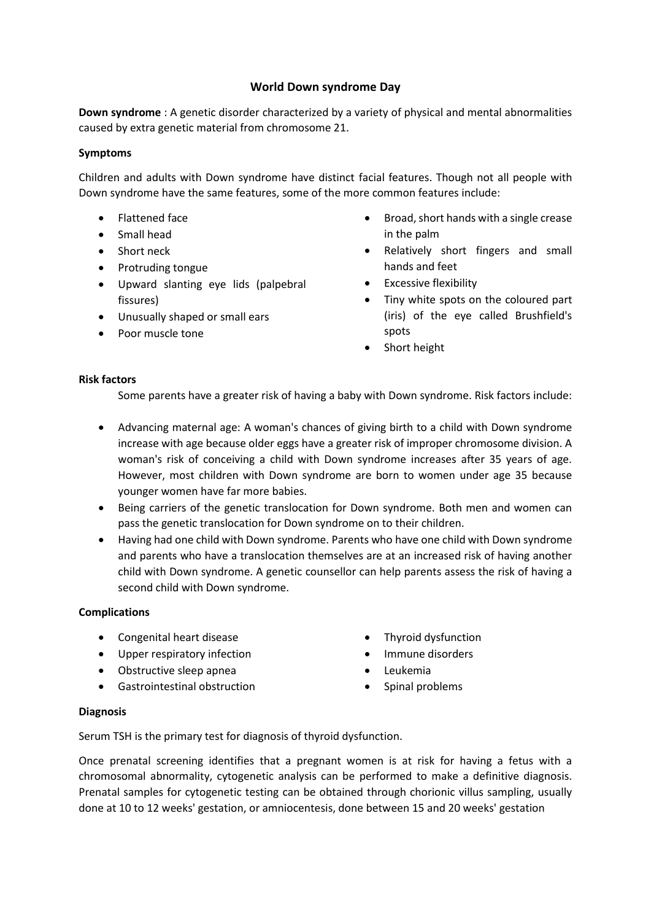# **World Down syndrome Day**

**Down syndrome** : A genetic disorder characterized by a variety of physical and mental abnormalities caused by extra genetic material from chromosome 21.

## **Symptoms**

Children and adults with Down syndrome have distinct facial features. Though not all people with Down syndrome have the same features, some of the more common features include:

- Flattened face
- Small head
- Short neck
- Protruding tongue
- Upward slanting eye lids (palpebral fissures)
- Unusually shaped or small ears
- Poor muscle tone
- Broad, short hands with a single crease in the palm
- Relatively short fingers and small hands and feet
- Excessive flexibility
- Tiny white spots on the coloured part (iris) of the eye called Brushfield's spots
- Short height

## **Risk factors**

Some parents have a greater risk of having a baby with Down syndrome. Risk factors include:

- Advancing maternal age: A woman's chances of giving birth to a child with Down syndrome increase with age because older eggs have a greater risk of improper chromosome division. A woman's risk of conceiving a child with Down syndrome increases after 35 years of age. However, most children with Down syndrome are born to women under age 35 because younger women have far more babies.
- Being carriers of the genetic translocation for Down syndrome. Both men and women can pass the genetic translocation for Down syndrome on to their children.
- Having had one child with Down syndrome. Parents who have one child with Down syndrome and parents who have a translocation themselves are at an increased risk of having another child with Down syndrome. A genetic counsellor can help parents assess the risk of having a second child with Down syndrome.

#### **Complications**

- Congenital heart disease
- Upper respiratory infection
- Obstructive sleep apnea
- Gastrointestinal obstruction
- Thyroid dysfunction
- Immune disorders
- Leukemia
- Spinal problems

#### **Diagnosis**

Serum TSH is the primary test for diagnosis of thyroid dysfunction.

Once prenatal screening identifies that a pregnant women is at risk for having a fetus with a chromosomal abnormality, cytogenetic analysis can be performed to make a definitive diagnosis. Prenatal samples for cytogenetic testing can be obtained through chorionic villus sampling, usually done at 10 to 12 weeks' gestation, or amniocentesis, done between 15 and 20 weeks' gestation